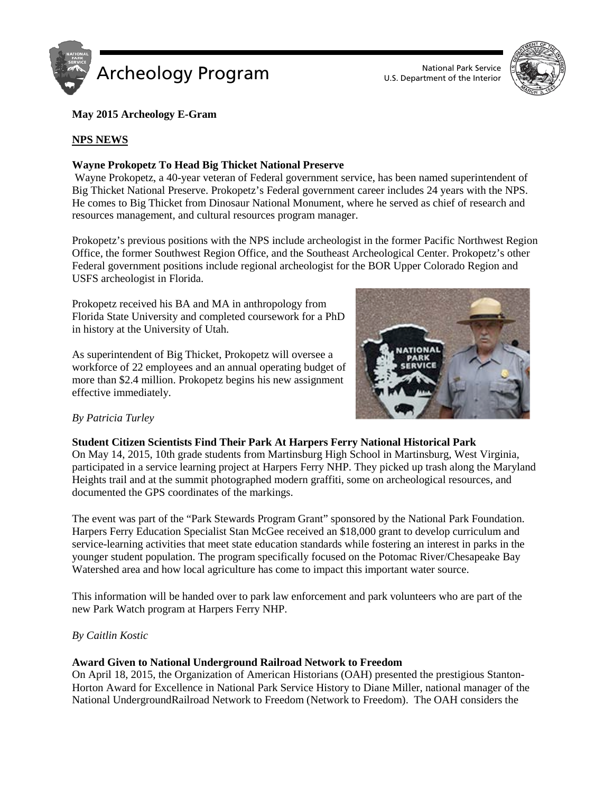



# **May 2015 Archeology E-Gram**

# **NPS NEWS**

# **Wayne Prokopetz To Head Big Thicket National Preserve**

Wayne Prokopetz, a 40-year veteran of Federal government service, has been named superintendent of Big Thicket National Preserve. Prokopetz's Federal government career includes 24 years with the NPS. He comes to Big Thicket from Dinosaur National Monument, where he served as chief of research and resources management, and cultural resources program manager.

Prokopetz's previous positions with the NPS include archeologist in the former Pacific Northwest Region Office, the former Southwest Region Office, and the Southeast Archeological Center. Prokopetz's other Federal government positions include regional archeologist for the BOR Upper Colorado Region and USFS archeologist in Florida.

Prokopetz received his BA and MA in anthropology from Florida State University and completed coursework for a PhD in history at the University of Utah.

As superintendent of Big Thicket, Prokopetz will oversee a workforce of 22 employees and an annual operating budget of more than \$2.4 million. Prokopetz begins his new assignment effective immediately.



# *By Patricia Turley*

### **Student Citizen Scientists Find Their Park At Harpers Ferry National Historical Park**

On May 14, 2015, 10th grade students from Martinsburg High School in Martinsburg, West Virginia, participated in a service learning project at Harpers Ferry NHP. They picked up trash along the Maryland Heights trail and at the summit photographed modern graffiti, some on archeological resources, and documented the GPS coordinates of the markings.

The event was part of the "Park Stewards Program Grant" sponsored by the National Park Foundation. Harpers Ferry Education Specialist Stan McGee received an \$18,000 grant to develop curriculum and service-learning activities that meet state education standards while fostering an interest in parks in the younger student population. The program specifically focused on the Potomac River/Chesapeake Bay Watershed area and how local agriculture has come to impact this important water source.

This information will be handed over to park law enforcement and park volunteers who are part of the new Park Watch program at Harpers Ferry NHP.

### *By Caitlin Kostic*

### **Award Given to National Underground Railroad Network to Freedom**

On April 18, 2015, the Organization of American Historians (OAH) presented the prestigious Stanton-Horton Award for Excellence in National Park Service History to Diane Miller, national manager of the National UndergroundRailroad Network to Freedom (Network to Freedom). The OAH considers the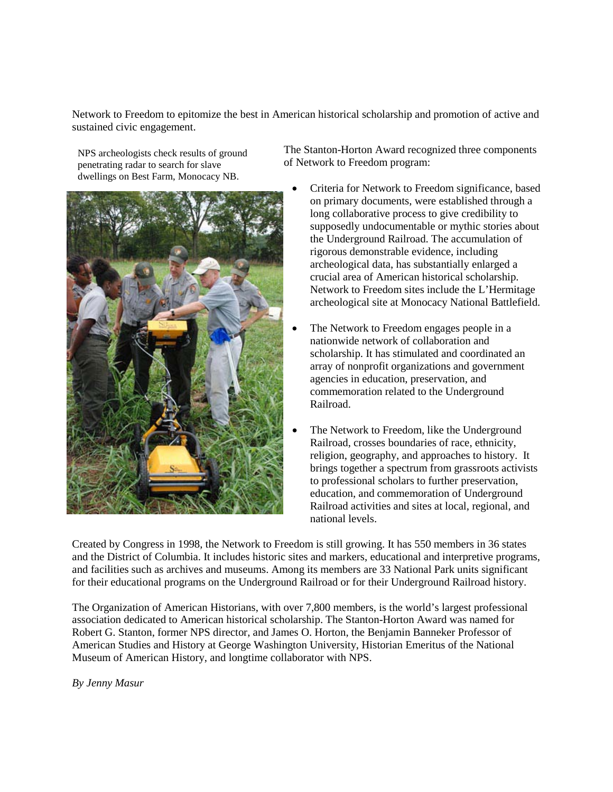Network to Freedom to epitomize the best in American historical scholarship and promotion of active and sustained civic engagement.

NPS archeologists check results of ground penetrating radar to search for slave dwellings on Best Farm, Monocacy NB.



The Stanton-Horton Award recognized three components of Network to Freedom program:

- Criteria for Network to Freedom significance, based on primary documents, were established through a long collaborative process to give credibility to supposedly undocumentable or mythic stories about the Underground Railroad. The accumulation of rigorous demonstrable evidence, including archeological data, has substantially enlarged a crucial area of American historical scholarship. Network to Freedom sites include the L'Hermitage archeological site at Monocacy National Battlefield.
- The Network to Freedom engages people in a nationwide network of collaboration and scholarship. It has stimulated and coordinated an array of nonprofit organizations and government agencies in education, preservation, and commemoration related to the Underground Railroad.
- The Network to Freedom, like the Underground Railroad, crosses boundaries of race, ethnicity, religion, geography, and approaches to history. It brings together a spectrum from grassroots activists to professional scholars to further preservation, education, and commemoration of Underground Railroad activities and sites at local, regional, and national levels.

Created by Congress in 1998, the Network to Freedom is still growing. It has 550 members in 36 states and the District of Columbia. It includes historic sites and markers, educational and interpretive programs, and facilities such as archives and museums. Among its members are 33 National Park units significant for their educational programs on the Underground Railroad or for their Underground Railroad history.

The Organization of American Historians, with over 7,800 members, is the world's largest professional association dedicated to American historical scholarship. The Stanton-Horton Award was named for Robert G. Stanton, former NPS director, and James O. Horton, the Benjamin Banneker Professor of American Studies and History at George Washington University, Historian Emeritus of the National Museum of American History, and longtime collaborator with NPS.

*By Jenny Masur*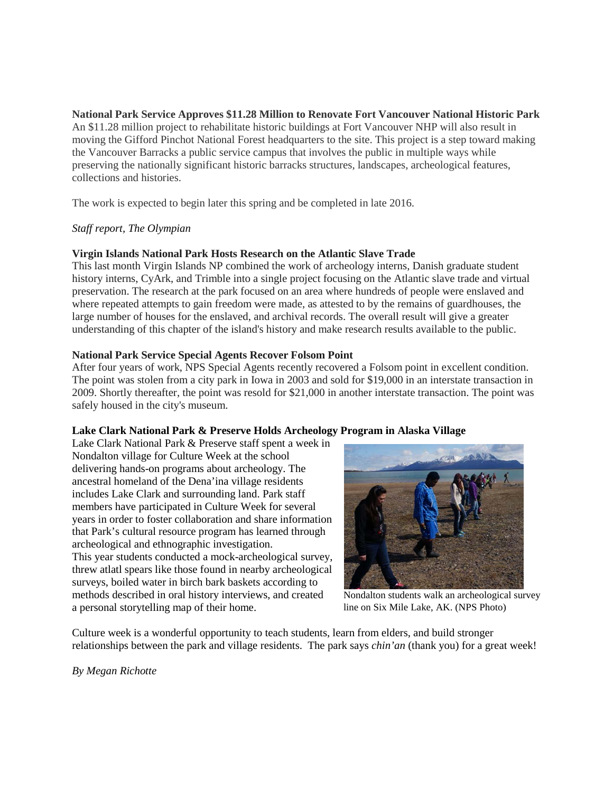**National Park Service Approves \$11.28 Million to Renovate Fort Vancouver National Historic Park** An \$11.28 million project to rehabilitate historic buildings at Fort Vancouver NHP will also result in moving the Gifford Pinchot National Forest headquarters to the site. This project is a step toward making the Vancouver Barracks a public service campus that involves the public in multiple ways while preserving the nationally significant historic barracks structures, landscapes, archeological features, collections and histories.

The work is expected to begin later this spring and be completed in late 2016.

### *Staff report, The Olympian*

### **Virgin Islands National Park Hosts Research on the Atlantic Slave Trade**

This last month Virgin Islands NP combined the work of archeology interns, Danish graduate student history interns, CyArk, and Trimble into a single project focusing on the Atlantic slave trade and virtual preservation. The research at the park focused on an area where hundreds of people were enslaved and where repeated attempts to gain freedom were made, as attested to by the remains of guardhouses, the large number of houses for the enslaved, and archival records. The overall result will give a greater understanding of this chapter of the island's history and make research results available to the public.

### **National Park Service Special Agents Recover Folsom Point**

After four years of work, NPS Special Agents recently recovered a Folsom point in excellent condition. The point was stolen from a city park in Iowa in 2003 and sold for \$19,000 in an interstate transaction in 2009. Shortly thereafter, the point was resold for \$21,000 in another interstate transaction. The point was safely housed in the city's museum.

### **Lake Clark National Park & Preserve Holds Archeology Program in Alaska Village**

Lake Clark National Park & Preserve staff spent a week in Nondalton village for Culture Week at the school delivering hands-on programs about archeology. The ancestral homeland of the Dena'ina village residents includes Lake Clark and surrounding land. Park staff members have participated in Culture Week for several years in order to foster collaboration and share information that Park's cultural resource program has learned through archeological and ethnographic investigation. This year students conducted a mock-archeological survey, threw atlatl spears like those found in nearby archeological surveys, boiled water in birch bark baskets according to methods described in oral history interviews, and created a personal storytelling map of their home.



Nondalton students walk an archeological survey line on Six Mile Lake, AK. (NPS Photo)

Culture week is a wonderful opportunity to teach students, learn from elders, and build stronger relationships between the park and village residents. The park says *chin'an* (thank you) for a great week!

*By Megan Richotte*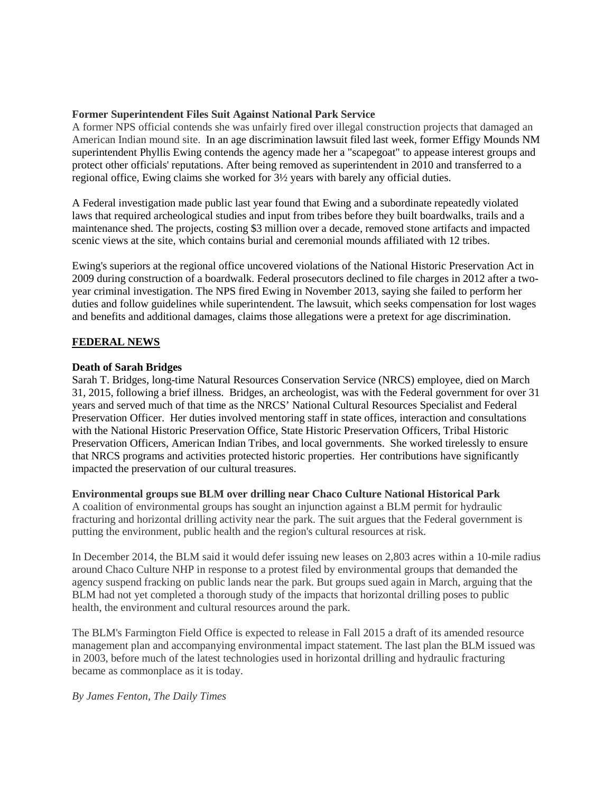### **Former Superintendent Files Suit Against National Park Service**

A former NPS official contends she was unfairly fired over illegal construction projects that damaged an American Indian mound site. In an age discrimination lawsuit filed last week, former Effigy Mounds NM superintendent Phyllis Ewing contends the agency made her a "scapegoat" to appease interest groups and protect other officials' reputations. After being removed as superintendent in 2010 and transferred to a regional office, Ewing claims she worked for 3½ years with barely any official duties.

A Federal investigation made public last year found that Ewing and a subordinate repeatedly violated laws that required archeological studies and input from tribes before they built boardwalks, trails and a maintenance shed. The projects, costing \$3 million over a decade, removed stone artifacts and impacted scenic views at the site, which contains burial and ceremonial mounds affiliated with 12 tribes.

Ewing's superiors at the regional office uncovered violations of the National Historic Preservation Act in 2009 during construction of a boardwalk. Federal prosecutors declined to file charges in 2012 after a twoyear criminal investigation. The NPS fired Ewing in November 2013, saying she failed to perform her duties and follow guidelines while superintendent. The lawsuit, which seeks compensation for lost wages and benefits and additional damages, claims those allegations were a pretext for age discrimination.

#### **FEDERAL NEWS**

#### **Death of Sarah Bridges**

Sarah T. Bridges, long-time Natural Resources Conservation Service (NRCS) employee, died on March 31, 2015, following a brief illness. Bridges, an archeologist, was with the Federal government for over 31 years and served much of that time as the NRCS' National Cultural Resources Specialist and Federal Preservation Officer. Her duties involved mentoring staff in state offices, interaction and consultations with the National Historic Preservation Office, State Historic Preservation Officers, Tribal Historic Preservation Officers, American Indian Tribes, and local governments. She worked tirelessly to ensure that NRCS programs and activities protected historic properties. Her contributions have significantly impacted the preservation of our cultural treasures.

#### **Environmental groups sue BLM over drilling near Chaco Culture National Historical Park**

A coalition of environmental groups has sought an injunction against a BLM permit for hydraulic fracturing and horizontal drilling activity near the park. The suit argues that the Federal government is putting the environment, public health and the region's cultural resources at risk.

In December 2014, the BLM said it would defer issuing new leases on 2,803 acres within a 10-mile radius around Chaco Culture NHP in response to a protest filed by environmental groups that demanded the agency suspend fracking on public lands near the park. But groups sued again in March, arguing that the BLM had not yet completed a thorough study of the impacts that horizontal drilling poses to public health, the environment and cultural resources around the park.

The BLM's Farmington Field Office is expected to release in Fall 2015 a draft of its amended resource management plan and accompanying environmental impact statement. The last plan the BLM issued was in 2003, before much of the latest technologies used in horizontal drilling and hydraulic fracturing became as commonplace as it is today.

*By James Fenton, The Daily Times*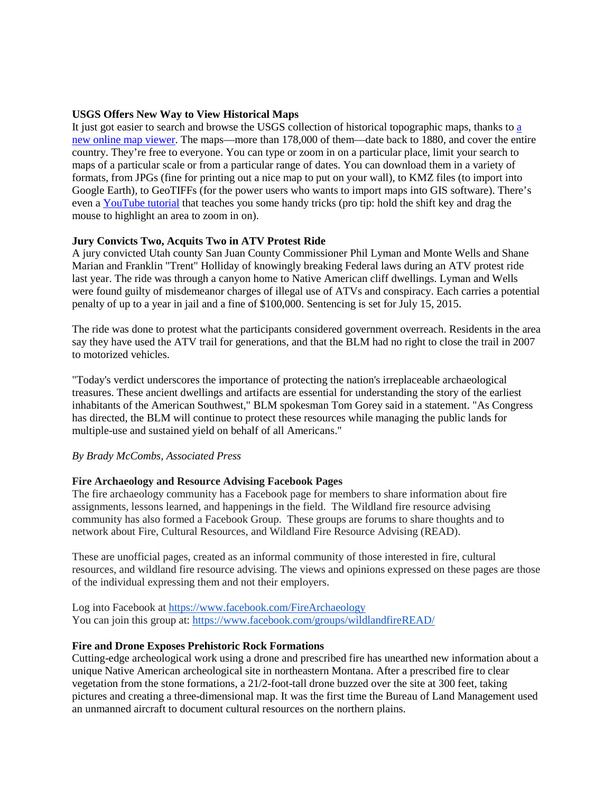#### **USGS Offers New Way to View Historical Maps**

It just got e[a](http://ngmdb.usgs.gov/maps/Topoview/)sier to search and browse the USGS collection of historical topographic maps, thanks to a new online map [viewer.](http://ngmdb.usgs.gov/maps/Topoview/) The maps—more than 178,000 of them—date back to 1880, and cover the entire country. They're free to everyone. You can type or zoom in on a particular place, limit your search to maps of a particular scale or from a particular range of dates. You can download them in a variety of formats, from JPGs (fine for printing out a nice map to put on your wall), to KMZ files (to import into Google Earth), to GeoTIFFs (for the power users who wants to import maps into GIS software). There's even a [YouTube](https://www.youtube.com/watch?v=kOpe3WXsZrQ) tutorial that teaches you some handy tricks (pro tip: hold the shift key and drag the mouse to highlight an area to zoom in on).

#### **Jury Convicts Two, Acquits Two in ATV Protest Ride**

A jury convicted Utah county San Juan County Commissioner Phil Lyman and Monte Wells and Shane Marian and Franklin "Trent" Holliday of knowingly breaking Federal laws during an ATV protest ride last year. The ride was through a canyon home to Native American cliff dwellings. Lyman and Wells were found guilty of misdemeanor charges of illegal use of ATVs and conspiracy. Each carries a potential penalty of up to a year in jail and a fine of \$100,000. Sentencing is set for July 15, 2015.

The ride was done to protest what the participants considered government overreach. Residents in the area say they have used the ATV trail for generations, and that the BLM had no right to close the trail in 2007 to motorized vehicles.

"Today's verdict underscores the importance of protecting the nation's irreplaceable archaeological treasures. These ancient dwellings and artifacts are essential for understanding the story of the earliest inhabitants of the American Southwest," BLM spokesman Tom Gorey said in a statement. "As Congress has directed, the BLM will continue to protect these resources while managing the public lands for multiple-use and sustained yield on behalf of all Americans."

### *By Brady McCombs, Associated Press*

#### **Fire Archaeology and Resource Advising Facebook Pages**

The fire archaeology community has a Facebook page for members to share information about fire assignments, lessons learned, and happenings in the field. The Wildland fire resource advising community has also formed a Facebook Group. These groups are forums to share thoughts and to network about Fire, Cultural Resources, and Wildland Fire Resource Advising (READ).

These are unofficial pages, created as an informal community of those interested in fire, cultural resources, and wildland fire resource advising. The views and opinions expressed on these pages are those of the individual expressing them and not their employers.

Log into Facebook at <https://www.facebook.com/FireArchaeology> You can join this group at: <https://www.facebook.com/groups/wildlandfireREAD/>

#### **Fire and Drone Exposes Prehistoric Rock Formations**

Cutting-edge archeological work using a drone and prescribed fire has unearthed new information about a unique Native American archeological site in northeastern Montana. After a prescribed fire to clear vegetation from the stone formations, a 21/2-foot-tall drone buzzed over the site at 300 feet, taking pictures and creating a three-dimensional map. It was the first time the Bureau of Land Management used an unmanned aircraft to document cultural resources on the northern plains.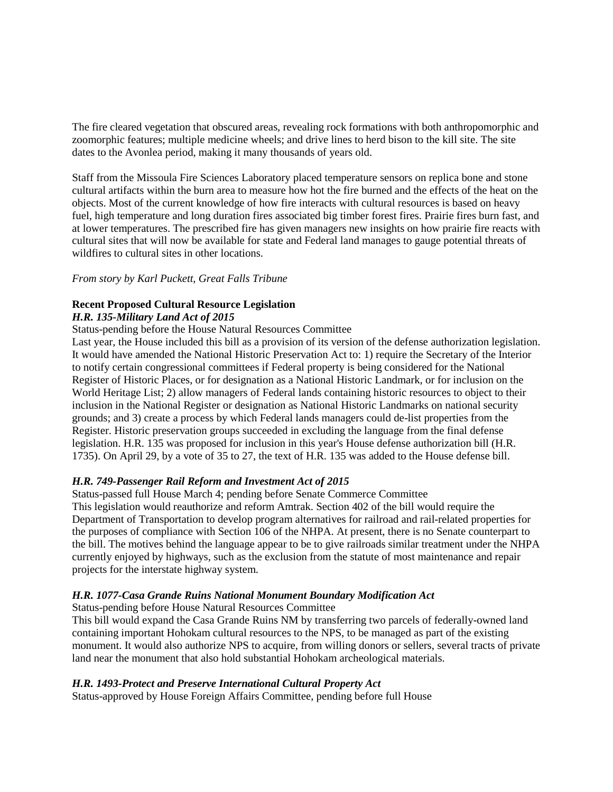The fire cleared vegetation that obscured areas, revealing rock formations with both anthropomorphic and zoomorphic features; multiple medicine wheels; and drive lines to herd bison to the kill site. The site dates to the Avonlea period, making it many thousands of years old.

Staff from the Missoula Fire Sciences Laboratory placed temperature sensors on replica bone and stone cultural artifacts within the burn area to measure how hot the fire burned and the effects of the heat on the objects. Most of the current knowledge of how fire interacts with cultural resources is based on heavy fuel, high temperature and long duration fires associated big timber forest fires. Prairie fires burn fast, and at lower temperatures. The prescribed fire has given managers new insights on how prairie fire reacts with cultural sites that will now be available for state and Federal land manages to gauge potential threats of wildfires to cultural sites in other locations.

#### *From story by Karl Puckett, Great Falls Tribune*

# **Recent Proposed Cultural Resource Legislation**

#### *H.R. 135-Military Land Act of 2015*

Status-pending before the House Natural Resources Committee

Last year, the House included this bill as a provision of its version of the defense authorization legislation. It would have amended the National Historic Preservation Act to: 1) require the Secretary of the Interior to notify certain congressional committees if Federal property is being considered for the National Register of Historic Places, or for designation as a National Historic Landmark, or for inclusion on the World Heritage List; 2) allow managers of Federal lands containing historic resources to object to their inclusion in the National Register or designation as National Historic Landmarks on national security grounds; and 3) create a process by which Federal lands managers could de-list properties from the Register. Historic preservation groups succeeded in excluding the language from the final defense legislation. H.R. 135 was proposed for inclusion in this year's House defense authorization bill (H.R. 1735). On April 29, by a vote of 35 to 27, the text of H.R. 135 was added to the House defense bill.

### *H.R. 749-Passenger Rail Reform and Investment Act of 2015*

Status-passed full House March 4; pending before Senate Commerce Committee This legislation would reauthorize and reform Amtrak. Section 402 of the bill would require the Department of Transportation to develop program alternatives for railroad and rail-related properties for the purposes of compliance with Section 106 of the NHPA. At present, there is no Senate counterpart to the bill. The motives behind the language appear to be to give railroads similar treatment under the NHPA currently enjoyed by highways, such as the exclusion from the statute of most maintenance and repair projects for the interstate highway system.

### *H.R. 1077-Casa Grande Ruins National Monument Boundary Modification Act*

Status-pending before House Natural Resources Committee

This bill would expand the Casa Grande Ruins NM by transferring two parcels of federally-owned land containing important Hohokam cultural resources to the NPS, to be managed as part of the existing monument. It would also authorize NPS to acquire, from willing donors or sellers, several tracts of private land near the monument that also hold substantial Hohokam archeological materials.

#### *H.R. 1493-Protect and Preserve International Cultural Property Act*

Status-approved by House Foreign Affairs Committee, pending before full House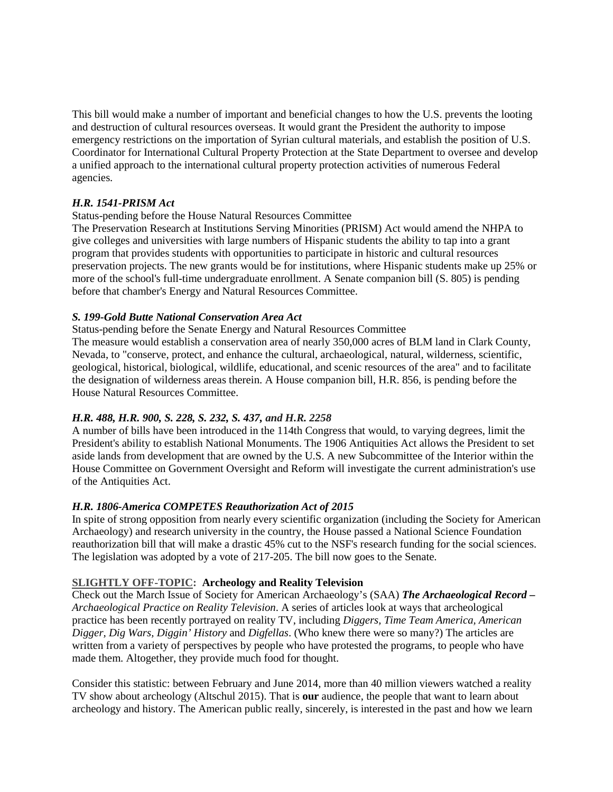This bill would make a number of important and beneficial changes to how the U.S. prevents the looting and destruction of cultural resources overseas. It would grant the President the authority to impose emergency restrictions on the importation of Syrian cultural materials, and establish the position of U.S. Coordinator for International Cultural Property Protection at the State Department to oversee and develop a unified approach to the international cultural property protection activities of numerous Federal agencies.

### *H.R. 1541-PRISM Act*

#### Status-pending before the House Natural Resources Committee

The Preservation Research at Institutions Serving Minorities (PRISM) Act would amend the NHPA to give colleges and universities with large numbers of Hispanic students the ability to tap into a grant program that provides students with opportunities to participate in historic and cultural resources preservation projects. The new grants would be for institutions, where Hispanic students make up 25% or more of the school's full-time undergraduate enrollment. A Senate companion bill (S. 805) is pending before that chamber's Energy and Natural Resources Committee.

#### *S. 199-Gold Butte National Conservation Area Act*

Status-pending before the Senate Energy and Natural Resources Committee

The measure would establish a conservation area of nearly 350,000 acres of BLM land in Clark County, Nevada, to "conserve, protect, and enhance the cultural, archaeological, natural, wilderness, scientific, geological, historical, biological, wildlife, educational, and scenic resources of the area" and to facilitate the designation of wilderness areas therein. A House companion bill, H.R. 856, is pending before the House Natural Resources Committee.

### *H.R. 488, H.R. 900, S. 228, S. 232, S. 437, and H.R. 2258*

A number of bills have been introduced in the 114th Congress that would, to varying degrees, limit the President's ability to establish National Monuments. The 1906 Antiquities Act allows the President to set aside lands from development that are owned by the U.S. A new Subcommittee of the Interior within the House Committee on Government Oversight and Reform will investigate the current administration's use of the Antiquities Act.

### *H.R. 1806-America COMPETES Reauthorization Act of 2015*

In spite of strong opposition from nearly every scientific organization (including the Society for American Archaeology) and research university in the country, the House passed a National Science Foundation reauthorization bill that will make a drastic 45% cut to the NSF's research funding for the social sciences. The legislation was adopted by a vote of 217-205. The bill now goes to the Senate.

### **SLIGHTLY OFF-TOPIC: Archeology and Reality Television**

Check out the March Issue of Society for American Archaeology's (SAA) *The Archaeological Record – Archaeological Practice on Reality Television*. A series of articles look at ways that archeological practice has been recently portrayed on reality TV, including *Diggers, Time Team America, American Digger, Dig Wars, Diggin' History* and *Digfellas*. (Who knew there were so many?) The articles are written from a variety of perspectives by people who have protested the programs, to people who have made them. Altogether, they provide much food for thought.

Consider this statistic: between February and June 2014, more than 40 million viewers watched a reality TV show about archeology (Altschul 2015). That is **our** audience, the people that want to learn about archeology and history. The American public really, sincerely, is interested in the past and how we learn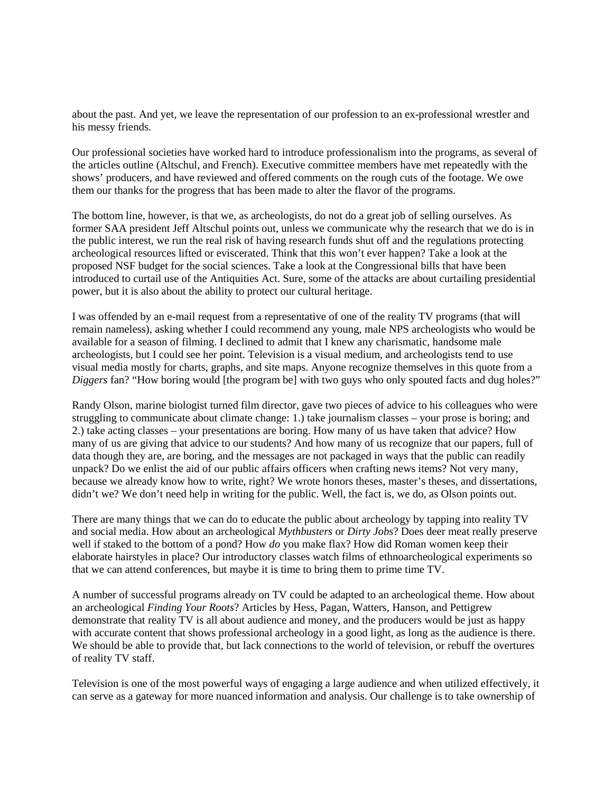about the past. And yet, we leave the representation of our profession to an ex-professional wrestler and his messy friends.

Our professional societies have worked hard to introduce professionalism into the programs, as several of the articles outline (Altschul, and French). Executive committee members have met repeatedly with the shows' producers, and have reviewed and offered comments on the rough cuts of the footage. We owe them our thanks for the progress that has been made to alter the flavor of the programs.

The bottom line, however, is that we, as archeologists, do not do a great job of selling ourselves. As former SAA president Jeff Altschul points out, unless we communicate why the research that we do is in the public interest, we run the real risk of having research funds shut off and the regulations protecting archeological resources lifted or eviscerated. Think that this won't ever happen? Take a look at the proposed NSF budget for the social sciences. Take a look at the Congressional bills that have been introduced to curtail use of the Antiquities Act. Sure, some of the attacks are about curtailing presidential power, but it is also about the ability to protect our cultural heritage.

I was offended by an e-mail request from a representative of one of the reality TV programs (that will remain nameless), asking whether I could recommend any young, male NPS archeologists who would be available for a season of filming. I declined to admit that I knew any charismatic, handsome male archeologists, but I could see her point. Television is a visual medium, and archeologists tend to use visual media mostly for charts, graphs, and site maps. Anyone recognize themselves in this quote from a *Diggers* fan? "How boring would [the program be] with two guys who only spouted facts and dug holes?"

Randy Olson, marine biologist turned film director, gave two pieces of advice to his colleagues who were struggling to communicate about climate change: 1.) take journalism classes – your prose is boring; and 2.) take acting classes – your presentations are boring. How many of us have taken that advice? How many of us are giving that advice to our students? And how many of us recognize that our papers, full of data though they are, are boring, and the messages are not packaged in ways that the public can readily unpack? Do we enlist the aid of our public affairs officers when crafting news items? Not very many, because we already know how to write, right? We wrote honors theses, master's theses, and dissertations, didn't we? We don't need help in writing for the public. Well, the fact is, we do, as Olson points out.

There are many things that we can do to educate the public about archeology by tapping into reality TV and social media. How about an archeological *Mythbusters* or *Dirty Jobs*? Does deer meat really preserve well if staked to the bottom of a pond? How *do* you make flax? How did Roman women keep their elaborate hairstyles in place? Our introductory classes watch films of ethnoarcheological experiments so that we can attend conferences, but maybe it is time to bring them to prime time TV.

A number of successful programs already on TV could be adapted to an archeological theme. How about an archeological *Finding Your Roots*? Articles by Hess, Pagan, Watters, Hanson, and Pettigrew demonstrate that reality TV is all about audience and money, and the producers would be just as happy with accurate content that shows professional archeology in a good light, as long as the audience is there. We should be able to provide that, but lack connections to the world of television, or rebuff the overtures of reality TV staff.

Television is one of the most powerful ways of engaging a large audience and when utilized effectively, it can serve as a gateway for more nuanced information and analysis. Our challenge is to take ownership of